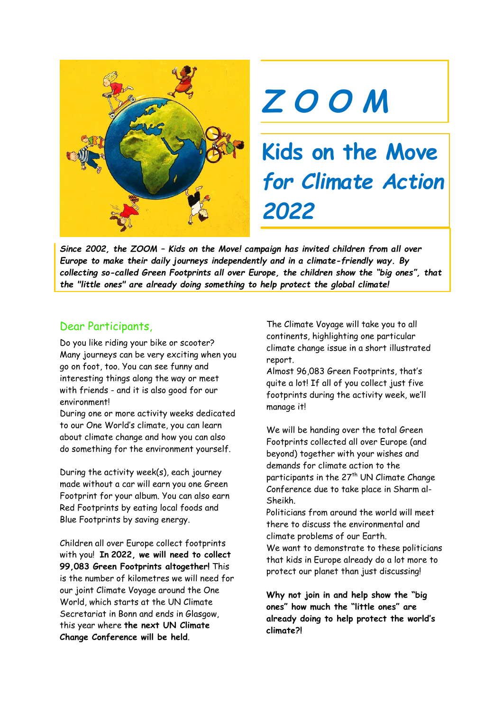



**Kids on the Move** *for Climate Action 2022*

*Since 2002, the ZOOM – Kids on the Move! campaign has invited children from all over Europe to make their daily journeys independently and in a climate-friendly way. By collecting so-called Green Footprints all over Europe, the children show the "big ones", that the "little ones" are already doing something to help protect the global climate!*

### Dear Participants,

Do you like riding your bike or scooter? Many journeys can be very exciting when you go on foot, too. You can see funny and interesting things along the way or meet with friends - and it is also good for our environment!

During one or more activity weeks dedicated to our One World's climate, you can learn about climate change and how you can also do something for the environment yourself.

During the activity week(s), each journey made without a car will earn you one Green Footprint for your album. You can also earn Red Footprints by eating local foods and Blue Footprints by saving energy.

Children all over Europe collect footprints with you! **In 2022, we will need to collect 99,083 Green Footprints altogether!** This is the number of kilometres we will need for our joint Climate Voyage around the One World, which starts at the UN Climate Secretariat in Bonn and ends in Glasgow, this year where **the next UN Climate Change Conference will be held**.

The Climate Voyage will take you to all continents, highlighting one particular climate change issue in a short illustrated report.

Almost 96,083 Green Footprints, that's quite a lot! If all of you collect just five footprints during the activity week, we'll manage it!

We will be handing over the total Green Footprints collected all over Europe (and beyond) together with your wishes and demands for climate action to the participants in the 27<sup>th</sup> UN Climate Change Conference due to take place in Sharm al-Sheikh.

Politicians from around the world will meet there to discuss the environmental and climate problems of our Earth.

We want to demonstrate to these politicians that kids in Europe already do a lot more to protect our planet than just discussing!

**Why not join in and help show the "big ones" how much the "little ones" are already doing to help protect the world's climate?!**